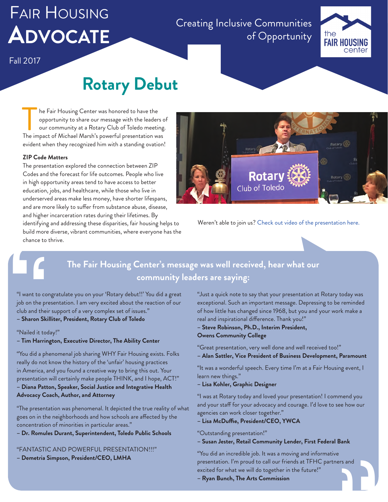# Fair Housing **Advocate**

Creating Inclusive Communities of Opportunity



## Fall 2017

# **Rotary Debut**

he Fair Housing Center was honored to have the opportunity to share our message with the leaders of our community at a Rotary Club of Toledo meeting. The Fair Housing Center was honored to have the<br>
opportunity to share our message with the leaders cour<br>
our community at a Rotary Club of Toledo meeting<br>
The impact of Michael Marsh's powerful presentation was evident when they recognized him with a standing ovation!

### **ZIP Code Matters**

The presentation explored the connection between ZIP Codes and the forecast for life outcomes. People who live in high opportunity areas tend to have access to better education, jobs, and healthcare, while those who live in underserved areas make less money, have shorter lifespans, and are more likely to suffer from substance abuse, disease, and higher incarceration rates during their lifetimes. By identifying and addressing these disparities, fair housing helps to build more diverse, vibrant communities, where everyone has the chance to thrive. and higher<br>
identifying<br>
build more<br>
chance to<br>
chance to<br>
"'<br>
"Yailed it to<br>
- **Tim Harrin**<br>"You did a ph



Weren't able to join us? [Check out video of the presentation here.](http://www.toledofhc.org/rotary-debut/)

# **The Fair Housing Center's message was well received, hear what our community leaders are saying:**

"I want to congratulate you on your 'Rotary debut!!' You did a great job on the presentation. I am very excited about the reaction of our club and their support of a very complex set of issues."

**– Sharon Skilliter, President, Rotary Club of Toledo**

"Nailed it today!"

**– Tim Harrington, Executive Director, The Ability Center**

"You did a phenomenal job sharing WHY Fair Housing exists. Folks really do not know the history of the 'unfair' housing practices in America, and you found a creative way to bring this out. Your presentation will certainly make people THINK, and I hope, ACT!" **– Diana Patton, Speaker, Social Justice and Integrative Health**

## **Advocacy Coach, Author, and Attorney**

"The presentation was phenomenal. It depicted the true reality of what goes on in the neighborhoods and how schools are affected by the concentration of minorities in particular areas."

**– Dr. Romules Durant, Superintendent, Toledo Public Schools**

"FANTASTIC AND POWERFUL PRESENTATION!!!"

**– Demetria Simpson, President/CEO, LMHA**

"Just a quick note to say that your presentation at Rotary today was exceptional. Such an important message. Depressing to be reminded of how little has changed since 1968, but you and your work make a real and inspirational difference. Thank you!"

**– Steve Robinson, Ph.D., Interim President, Owens Community College**

"Great presentation, very well done and well received too!" **– Alan Sattler, Vice President of Business Development, Paramount**

"It was a wonderful speech. Every time I'm at a Fair Housing event, I learn new things."

### **– Lisa Kohler, Graphic Designer**

"I was at Rotary today and loved your presentation! I commend you and your staff for your advocacy and courage. I'd love to see how our agencies can work closer together."

**– Lisa McDuffie, President/CEO, YWCA**

"Outstanding presentation!"

**– Susan Jester, Retail Community Lender, First Federal Bank**

"You did an incredible job. It was a moving and informative presentation. I'm proud to call our friends at TFHC partners and excited for what we will do together in the future!" presentation. I'm proud to call our friends at TFHC partners and<br>excited for what we will do together in the future!"<br>**– Ryan Bunch, The Arts Commission**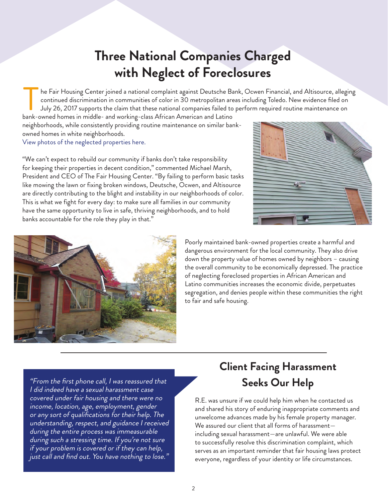# **Three National Companies Charged with Neglect of Foreclosures**

he Fair Housing Center joined a national complaint against Deutsche Bank, Ocwen Financial, and Altisource, alleging continued discrimination in communities of color in 30 metropolitan areas including Toledo. New evidence filed on July 26, 2017 supports the claim that these national companies failed to perform required routine maintenance on be Fair Housing Center joined a national complaint against Deutsche Bachentinued discrimination in communities of color in 30 metropolitan are July 26, 2017 supports the claim that these national companies failed to bank-o

neighborhoods, while consistently providing routine maintenance on similar bankowned homes in white neighborhoods. [View photos of the neglected properties here.](http://www.toledofhc.org/wp-content/uploads/2017/11/Deutsche-Toledo-2017.pdf)

"We can't expect to rebuild our community if banks don't take responsibility for keeping their properties in decent condition," commented Michael Marsh, President and CEO of The Fair Housing Center. "By failing to perform basic tasks like mowing the lawn or fixing broken windows, Deutsche, Ocwen, and Altisource are directly contributing to the blight and instability in our neighborhoods of color. This is what we fight for every day: to make sure all families in our community have the same opportunity to live in safe, thriving neighborhoods, and to hold banks accountable for the role they play in that."





Poorly maintained bank-owned properties create a harmful and dangerous environment for the local community. They also drive down the property value of homes owned by neighbors – causing the overall community to be economically depressed. The practice of neglecting foreclosed properties in African American and Latino communities increases the economic divide, perpetuates segregation, and denies people within these communities the right to fair and safe housing.

"From the first phone call, I was reassured that I did indeed have a sexual harassment case covered under fair housing and there were no income, location, age, employment, gender or any sort of qualifications for their help. The understanding, respect, and guidance I received during the entire process was immeasurable during such a stressing time. If you're not sure if your problem is covered or if they can help, just call and find out. You have nothing to lose."

# **Client Facing Harassment Seeks Our Help**

R.E. was unsure if we could help him when he contacted us and shared his story of enduring inappropriate comments and unwelcome advances made by his female property manager. We assured our client that all forms of harassment including sexual harassment—are unlawful. We were able to successfully resolve this discrimination complaint, which serves as an important reminder that fair housing laws protect everyone, regardless of your identity or life circumstances.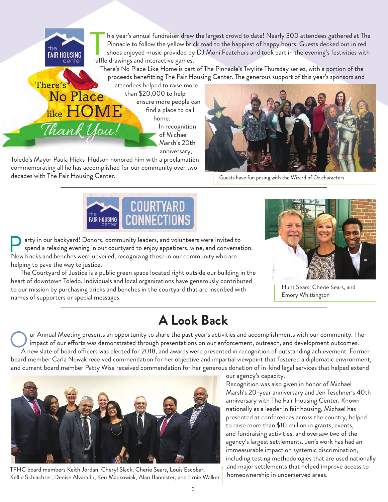his year's annual fundraiser drew the largest crowd to date! Nearly 300 attendees gathered at The Pinnacle to follow the yellow brick road to the happiest of happy hours. Guests decked out in red shoes enjoyed music provided by DJ Moni Featchurs and took part in the evening's festivities with his year's annual fundraiser drew<br>Pinnacle to follow the yellow bria<br>shoes enjoyed music provided by<br>raffle drawings and interactive games.

There's No Place Like Home is part of The Pinnacle's Twylite Thursday series, with a portion of the proceeds benefitting The Fair Housing Center. The generous support of this year's sponsors and

attendees helped to raise more than \$20,000 to help ensure more people can find a place to call home. In recognition of Michael Marsh's 20th

anniversary,

Toledo's Mayor Paula Hicks-Hudson honored him with a proclamation commemorating all he has accomplished for our community over two decades with The Fair Housing Center.

**FAIR HOUSING** 

**No Place** 

like HON

Thank You!

There's



Guests have fun posing with the Wizard of Oz characters.



arty in our backyard! Donors, community leaders, and volunteers were invited to spend a relaxing evening in our courtyard to enjoy appetizers, wine, and conversation. new in our backyard! Donors, community leaders, and volunteers were invited to spend a relaxing evening in our courtyard to enjoy appetizers, wine, and conversion New bricks and benches were unveiled, recognizing those in helping to pave the way to justice.

The Courtyard of Justice is a public green space located right outside our building in the heart of downtown Toledo. Individuals and local organizations have generously contributed to our mission by purchasing bricks and benches in the courtyard that are inscribed with names of supporters or special messages.



Hunt Sears, Cherie Sears, and Emory Whittington

# **A Look Back**

ur Annual Meeting presents an opportunity to share the past year's activities and accomplishments with our community. The impact of our efforts was demonstrated through presentations on our enforcement, outreach, and development outcomes. Ur Annual Meeting presents an opportunity to share the past year's activities and accomplishments with our community. The<br>A new slate of board officers was elected for 2018, and awards were presented in recognition of outs board member Carla Nowak received commendation for her objective and impartial viewpoint that fostered a diplomatic environment, and current board member Patty Wise received commendation for her generous donation of in-kind legal services that helped extend



TFHC board members Keith Jordan, Cheryl Slack, Cherie Sears, Louis Escobar, Kellie Schlachter, Denise Alvarado, Ken Mackowiak, Alan Bannister, and Ernie Walker.

our agency's capacity.

Recognition was also given in honor of Michael Marsh's 20-year anniversary and Jen Teschner's 40th anniversary with The Fair Housing Center. Known nationally as a leader in fair housing, Michael has presented at conferences across the country, helped to raise more than \$10 million in grants, events, and fundraising activities, and oversaw two of the agency's largest settlements. Jen's work has had an immeasurable impact on systemic discrimination, including testing methodologies that are used nationally and major settlements that helped improve access to homeownership in underserved areas.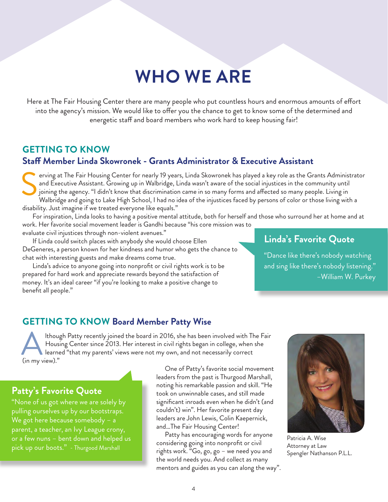# **WHO WE ARE**

Here at The Fair Housing Center there are many people who put countless hours and enormous amounts of effort into the agency's mission. We would like to offer you the chance to get to know some of the determined and energetic staff and board members who work hard to keep housing fair!

## **GETTING TO KNOW Staff Member Linda Skowronek - Grants Administrator & Executive Assistant**

erving at The Fair Housing Center for nearly 19 years, Linda Skowronek has played a key role as the Grants Administrator and Executive Assistant. Growing up in Walbridge, Linda wasn't aware of the social injustices in the community until joining the agency. "I didn't know that discrimination came in so many forms and affected so many people. Living in Walbridge and going to Lake High School, I had no idea of the injustices faced by persons of color or those living with a disability. Just imagine if we treated everyone like equals." S

For inspiration, Linda looks to having a positive mental attitude, both for herself and those who surround her at home and at work. Her favorite social movement leader is Gandhi because "his core mission was to

evaluate civil injustices through non-violent avenues."

If Linda could switch places with anybody she would choose Ellen DeGeneres, a person known for her kindness and humor who gets the chance to chat with interesting guests and make dreams come true.

Linda's advice to anyone going into nonprofit or civil rights work is to be prepared for hard work and appreciate rewards beyond the satisfaction of money. It's an ideal career "if you're looking to make a positive change to benefit all people."

## **Linda's Favorite Quote**

"Dance like there's nobody watching and sing like there's nobody listening." –William W. Purkey

## **GETTING TO KNOW Board Member Patty Wise**

lthough Patty recently joined the board in 2016, she has been involved with The Fair Housing Center since 2013. Her interest in civil rights began in college, when she learned "that my parents' views were not my own, and not necessarily correct Althou<br>
learne<br>
(in my view)."

Patricia A. Wise Attorney at Law Spengler Nathanson P.L.L.

## **Patty's Favorite Quote**

"None of us got where we are solely by pulling ourselves up by our bootstraps. We got here because somebody – a parent, a teacher, an Ivy League crony, or a few nuns – bent down and helped us pick up our boots." - Thurgood Marshall

One of Patty's favorite social movement leaders from the past is Thurgood Marshall, noting his remarkable passion and skill. "He took on unwinnable cases, and still made significant inroads even when he didn't (and couldn't) win". Her favorite present day leaders are John Lewis, Colin Kaepernick, and…The Fair Housing Center!

Patty has encouraging words for anyone considering going into nonprofit or civil rights work. "Go, go, go – we need you and the world needs you. And collect as many mentors and guides as you can along the way".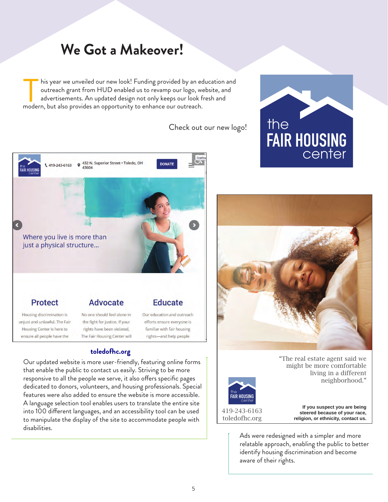# **We Got a Makeover!**

his year we unveiled our new look! Funding provided by an education and outreach grant from HUD enabled us to revamp our logo, website, and advertisements. An updated design not only keeps our look fresh and his year we unveiled our new look! Funding provided by an ed<br>outreach grant from HUD enabled us to revamp our logo, we<br>advertisements. An updated design not only keeps our look fi<br>modern, but also provides an opportunity t

Check out our new logo!



Our updated website is more user-friendly, featuring online forms that enable the public to contact us easily. Striving to be more responsive to all the people we serve, it also offers specific pages dedicated to donors, volunteers, and housing professionals. Special features were also added to ensure the website is more accessible. A language selection tool enables users to translate the entire site into 100 different languages, and an accessibility tool can be used to manipulate the display of the site to accommodate people with disabilities. **[toledofhc.org](www.toledofhc.org)**





"The real estate agent said we might be more comfortable living in a different neighborhood."

419-243-6163 toledofhc.org

**If you suspect you are being steered because of your race, religion, or ethnicity, contact us.**

Ads were redesigned with a simpler and more relatable approach, enabling the public to better identify housing discrimination and become aware of their rights.